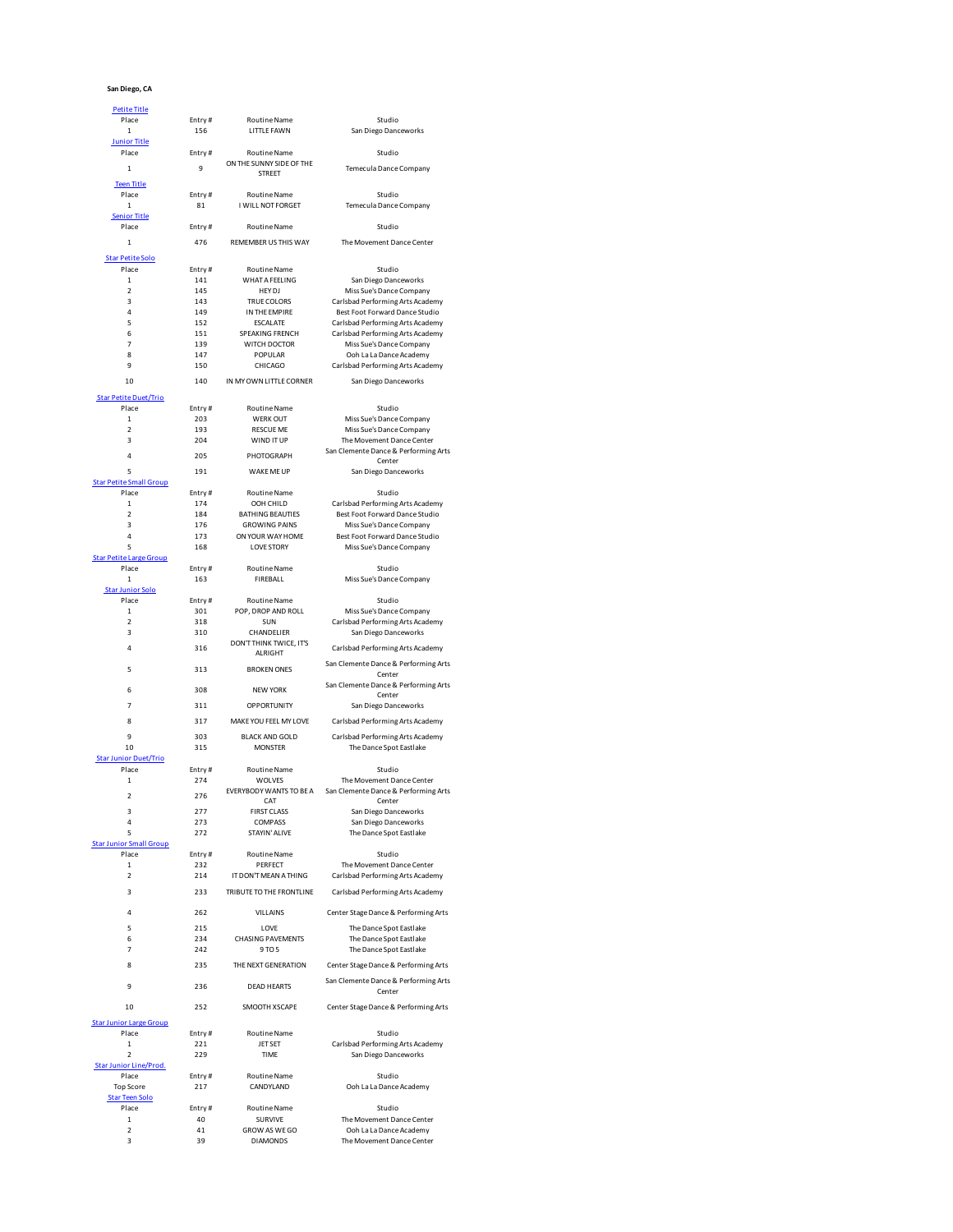## **San Diego, CA**

| <b>Petite Title</b>            |              |                                  |                                                      |
|--------------------------------|--------------|----------------------------------|------------------------------------------------------|
| Place                          | Entry#       | <b>Routine Name</b>              | Studio                                               |
|                                |              |                                  |                                                      |
| $\mathbf 1$                    | 156          | LITTLE FAWN                      | San Diego Danceworks                                 |
| <b>Junior Title</b>            |              |                                  |                                                      |
| Place                          | Entry#       | <b>Routine Name</b>              | Studio                                               |
|                                | $\mathbf{Q}$ | ON THE SUNNY SIDE OF THE         |                                                      |
| 1                              |              | <b>STREET</b>                    | Temecula Dance Company                               |
| <b>Teen Title</b>              |              |                                  |                                                      |
| Place                          | Entry#       | <b>Routine Name</b>              | Studio                                               |
|                                |              |                                  |                                                      |
| $\mathbf 1$                    | 81           | I WILL NOT FORGET                | Temecula Dance Company                               |
| <b>Senior Title</b>            |              |                                  |                                                      |
| Place                          | Entry#       | <b>Routine Name</b>              | Studio                                               |
|                                |              |                                  |                                                      |
| $\mathbf 1$                    | 476          | REMEMBER US THIS WAY             | The Movement Dance Center                            |
| <b>Star Petite Solo</b>        |              |                                  |                                                      |
| Place                          | Entry#       | <b>Routine Name</b>              | Studio                                               |
|                                |              |                                  |                                                      |
| 1                              | 141          | <b>WHAT A FEELING</b>            | San Diego Danceworks                                 |
| $\mathfrak{p}$                 | 145          | HFY DI                           | Miss Sue's Dance Company                             |
| 3                              | 143          | <b>TRUE COLORS</b>               | Carlsbad Performing Arts Academy                     |
| $\overline{4}$                 | 149          | IN THE EMPIRE                    | Best Foot Forward Dance Studio                       |
| 5                              | 152          | <b>ESCALATE</b>                  | Carlsbad Performing Arts Academy                     |
| 6                              | 151          | SPEAKING FRENCH                  | Carlsbad Performing Arts Academy                     |
| $\overline{7}$                 | 139          | WITCH DOCTOR                     | Miss Sue's Dance Company                             |
|                                |              |                                  |                                                      |
| 8                              | 147          | POPULAR                          | Ooh La La Dance Academy                              |
| 9                              | 150          | CHICAGO                          | Carlsbad Performing Arts Academy                     |
|                                | 140          |                                  |                                                      |
| 10                             |              | IN MY OWN LITTLE CORNER          | San Diego Danceworks                                 |
| <b>Star Petite Duet/Trio</b>   |              |                                  |                                                      |
| Place                          | Entry#       | <b>Routine Name</b>              | Studio                                               |
| 1                              | 203          | <b>WERK OUT</b>                  |                                                      |
|                                |              |                                  | Miss Sue's Dance Company                             |
| $\overline{ }$                 | 193          | <b>RESCUE ME</b>                 | Miss Sue's Dance Company                             |
| 3                              | 204          | WIND IT UP                       | The Movement Dance Center                            |
|                                |              |                                  | San Clemente Dance & Performing Arts                 |
| 4                              | 205          | PHOTOGRAPH                       | Center                                               |
| 5                              | 191          | WAKE ME UP                       | San Diego Danceworks                                 |
| <b>Star Petite Small Group</b> |              |                                  |                                                      |
| Place                          |              | <b>Routine Name</b>              | Studio                                               |
|                                | Entry#       |                                  |                                                      |
| 1                              | 174          | OOH CHILD                        | Carlsbad Performing Arts Academy                     |
| $\mathfrak{p}$                 | 184          | <b>BATHING BEAUTIES</b>          | Best Foot Forward Dance Studio                       |
| 3                              | 176          | <b>GROWING PAINS</b>             | Miss Sue's Dance Company                             |
| 4                              | 173          | ON YOUR WAY HOME                 | Best Foot Forward Dance Studio                       |
| 5                              | 168          | <b>LOVE STORY</b>                | Miss Sue's Dance Company                             |
|                                |              |                                  |                                                      |
| <b>Star Petite Large Group</b> |              |                                  |                                                      |
| Place                          | Entry#       | <b>Routine Name</b>              | Studio                                               |
| $\mathbf{1}$                   | 163          | <b>FIREBALL</b>                  | Miss Sue's Dance Company                             |
| Star Junior Solo               |              |                                  |                                                      |
| Place                          | Entry#       | Routine Name                     | Studio                                               |
| $\mathbf{1}$                   | 301          | POP, DROP AND ROLL               | Miss Sue's Dance Company                             |
| $\mathfrak{p}$                 | 318          | SUN                              |                                                      |
|                                |              |                                  | Carlsbad Performing Arts Academy                     |
| 3                              | 310          | CHANDELIER                       | San Diego Danceworks                                 |
| $\overline{a}$                 | 316          | DON'T THINK TWICE, IT'S          | Carlsbad Performing Arts Academy                     |
|                                |              | AI RIGHT                         |                                                      |
|                                |              |                                  | San Clemente Dance & Performing Arts                 |
| 5                              | 313          | <b>BROKEN ONES</b>               | Center                                               |
|                                |              |                                  | San Clemente Dance & Performing Arts                 |
| 6                              | 308          | <b>NEW YORK</b>                  | Center                                               |
| $\overline{7}$                 | 311          | OPPORTUNITY                      |                                                      |
|                                |              |                                  | San Diego Danceworks                                 |
| 8                              | 317          | MAKE YOU FEEL MY LOVE            | Carlsbad Performing Arts Academy                     |
|                                |              |                                  |                                                      |
| 9                              | 303          | <b>BLACK AND GOLD</b>            | Carlsbad Performing Arts Academy                     |
| 10                             | 315          | <b>MONSTER</b>                   | The Dance Spot Eastlake                              |
| <b>Star Junior Duet/Trio</b>   |              |                                  |                                                      |
| Place                          | Entry#       | <b>Routine Name</b>              | Studio                                               |
|                                |              |                                  |                                                      |
| $\mathbf 1$                    | 274          | WOLVES                           | The Movement Dance Center                            |
| $\overline{\mathbf{c}}$        | 276          | EVERYBODY WANTS TO BE A          | San Clemente Dance & Performing Arts                 |
|                                |              | CAT                              | Center                                               |
| 3                              | 277          | <b>FIRST CLASS</b>               | San Diego Danceworks                                 |
| 4                              | 273          | COMPASS                          | San Diego Danceworks                                 |
| 5                              | 272          | STAYIN' ALIVE                    | The Dance Spot Eastlake                              |
| <b>Star Junior Small Group</b> |              |                                  |                                                      |
|                                |              |                                  |                                                      |
| Place                          | Entry#       | Routine Name                     | Studio                                               |
| 1                              | 232          | PERFECT                          | The Movement Dance Center                            |
| $\overline{\mathbf{2}}$        | 214          | IT DON'T MEAN A THING            | Carlsbad Performing Arts Academy                     |
| 3                              |              |                                  |                                                      |
|                                | 233          | TRIBUTE TO THE FRONTLINE         | Carlsbad Performing Arts Academy                     |
|                                |              |                                  |                                                      |
| 4                              |              |                                  |                                                      |
|                                | 262          | VILLAINS                         | Center Stage Dance & Performing Arts                 |
|                                |              |                                  |                                                      |
| 5                              | 215          | <b>I OVE</b>                     | The Dance Spot Eastlake                              |
| 6                              | 234          | <b>CHASING PAVEMENTS</b>         | The Dance Spot Eastlake                              |
| 7                              | 242          | 9 TO 5                           | The Dance Spot Eastlake                              |
|                                |              |                                  |                                                      |
| 8                              | 235          | THE NEXT GENERATION              | Center Stage Dance & Performing Arts                 |
|                                |              |                                  | San Clemente Dance & Performing Arts                 |
| 9                              | 236          | <b>DEAD HEARTS</b>               |                                                      |
|                                |              |                                  | Center                                               |
| 10                             | 252          | SMOOTH XSCAPE                    | Center Stage Dance & Performing Arts                 |
|                                |              |                                  |                                                      |
| <b>Star Junior Large Group</b> |              |                                  |                                                      |
| Place                          | Entry#       | Routine Name                     | Studio                                               |
| $\mathbf 1$                    | 221          | JET SET                          | Carlsbad Performing Arts Academy                     |
| $\overline{\mathbf{2}}$        | 229          | <b>TIME</b>                      | San Diego Danceworks                                 |
|                                |              |                                  |                                                      |
| Star Junior Line/Prod.         |              |                                  |                                                      |
| Place                          | Entry#       | Routine Name                     | Studio                                               |
| <b>Top Score</b>               | 217          | CANDYLAND                        | Ooh La La Dance Academy                              |
| <b>Star Teen Solo</b>          |              |                                  |                                                      |
| Place                          | Entry#       | Routine Name                     | Studio                                               |
| $\mathbf 1$                    | 40           | SURVIVE                          | The Movement Dance Center                            |
|                                |              |                                  |                                                      |
| $\overline{\mathbf{2}}$<br>3   | 41<br>39     | GROW AS WE GO<br><b>DIAMONDS</b> | Ooh La La Dance Academy<br>The Movement Dance Center |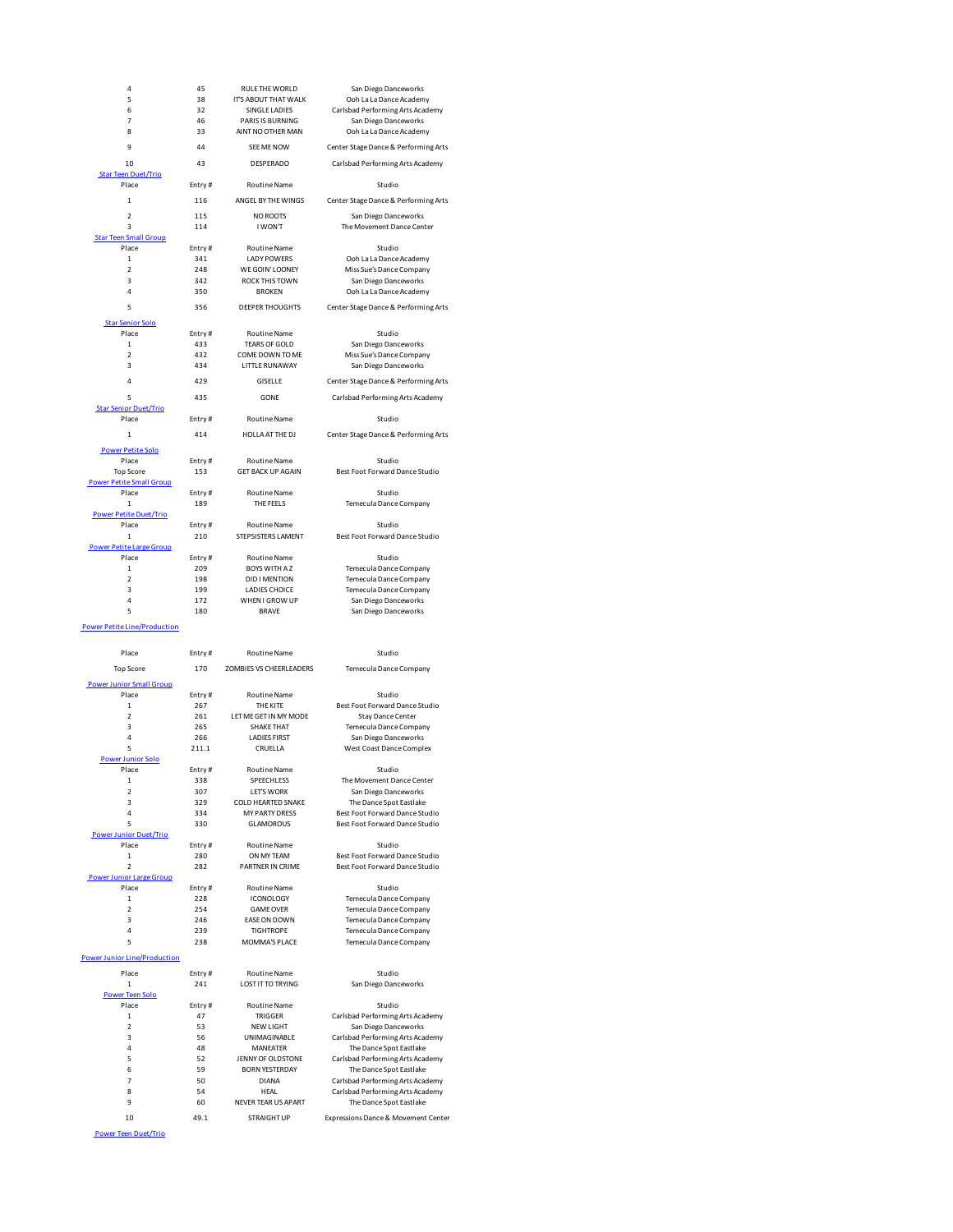| 4                                      | 45         | RULE THE WORLD                     | San Diego Danceworks                   |
|----------------------------------------|------------|------------------------------------|----------------------------------------|
| 5                                      | 38         | IT'S ABOUT THAT WALK               | Ooh La La Dance Academy                |
| 6                                      | 32         | SINGLE LADIES                      | Carlsbad Performing Arts Acade         |
| 7                                      | 46         | PARIS IS BURNING                   | San Diego Danceworks                   |
| 8                                      | 33         | AINT NO OTHER MAN                  | Ooh La La Dance Academy                |
|                                        |            |                                    |                                        |
| 9                                      | 44         | SEE ME NOW                         | Center Stage Dance & Performing        |
| 10                                     | 43         | DESPERADO                          | Carlsbad Performing Arts Acade         |
| <b>Star Teen Duet/Trio</b>             |            |                                    |                                        |
| Place                                  | Entry#     | <b>Routine Name</b>                | Studio                                 |
| $\mathbf 1$                            | 116        | ANGEL BY THE WINGS                 | Center Stage Dance & Performing        |
|                                        |            |                                    |                                        |
| $\overline{2}$                         | 115        | <b>NO ROOTS</b>                    | San Diego Danceworks                   |
| 3                                      | 114        | I WON'T                            | The Movement Dance Center              |
| <b>Star Teen Small Group</b>           |            |                                    |                                        |
| Place<br>1                             | Entry#     | Routine Name<br><b>LADY POWERS</b> | Studio                                 |
| $\overline{2}$                         | 341<br>248 | WE GOIN' LOONEY                    | Ooh La La Dance Academy                |
| 3                                      | 342        |                                    | Miss Sue's Dance Company               |
| 4                                      |            | ROCK THIS TOWN<br><b>BROKEN</b>    | San Diego Danceworks                   |
|                                        | 350        |                                    | Ooh La La Dance Academy                |
| 5                                      | 356        | DEEPER THOUGHTS                    | Center Stage Dance & Performing        |
| <b>Star Senior Solo</b>                |            |                                    |                                        |
| Place                                  | Entry#     | <b>Routine Name</b>                | Studio                                 |
| $\mathbf 1$                            | 433        | <b>TEARS OF GOLD</b>               | San Diego Danceworks                   |
| $\mathfrak{p}$                         | 432        | COME DOWN TO ME                    | Miss Sue's Dance Company               |
| 3                                      | 434        | LITTLE RUNAWAY                     | San Diego Danceworks                   |
| 4                                      |            |                                    |                                        |
|                                        | 429        | GISELLE                            | Center Stage Dance & Performing        |
| 5                                      | 435        | GONE                               | Carlsbad Performing Arts Acade         |
| <b>Star Senior Duet/Trio</b>           |            |                                    |                                        |
| Place                                  | Entry#     | <b>Routine Name</b>                | Studio                                 |
| 1                                      | 414        | HOLLA AT THE DJ                    | Center Stage Dance & Performing        |
|                                        |            |                                    |                                        |
| <b>Power Petite Solo</b>               |            |                                    |                                        |
| Place                                  | Entry#     | Routine Name                       | Studio                                 |
| <b>Top Score</b>                       | 153        | <b>GET BACK UP AGAIN</b>           | Best Foot Forward Dance Stud           |
| <b>Power Petite Small Group</b>        |            |                                    |                                        |
| Place                                  | Entry#     | <b>Routine Name</b>                | Studio<br>Temecula Dance Company       |
| 1                                      | 189        | THE FEELS                          |                                        |
| <b>Power Petite Duet/Trio</b><br>Place | Entry#     | <b>Routine Name</b>                | Studio                                 |
| $\mathbf{1}$                           | 210        | STEPSISTERS LAMENT                 | Best Foot Forward Dance Stud           |
| <b>Power Petite Large Group</b>        |            |                                    |                                        |
| Place                                  | Entry#     | <b>Routine Name</b>                | Studio                                 |
| $\mathbf 1$                            | 209        | <b>BOYS WITH AZ</b>                | Temecula Dance Company                 |
| $\mathfrak{p}$                         | 198        | <b>DID I MENTION</b>               | Temecula Dance Company                 |
| 3                                      | 199        | <b>LADIES CHOICE</b>               | Temecula Dance Company                 |
| 4                                      | 172        | WHEN I GROW UP                     | San Diego Danceworks                   |
| 5                                      | 180        | <b>BRAVE</b>                       | San Diego Danceworks                   |
|                                        |            |                                    |                                        |
| Power Petite Line/Production           |            |                                    |                                        |
|                                        |            |                                    |                                        |
| Place                                  | Entry#     | Routine Name                       | Studio                                 |
| <b>Top Score</b>                       | 170        | ZOMBIES VS CHEERLEADERS            | Temecula Dance Company                 |
|                                        |            |                                    |                                        |
| <b>Power Junior Small Group</b>        |            |                                    |                                        |
| Place<br>1                             | Entry#     | Routine Name                       | Studio<br>Best Foot Forward Dance Stud |
| $\mathfrak{p}$                         | 267<br>261 | THE KITE<br>LET ME GET IN MY MODE  | <b>Stav Dance Center</b>               |
| 3                                      | 265        | <b>SHAKE THAT</b>                  | Temecula Dance Company                 |
| 4                                      | 266        | <b>LADIES FIRST</b>                | San Diego Danceworks                   |
| 5                                      | 211.1      | CRUELLA                            | West Coast Dance Complex               |
| <b>Power Junior Solo</b>               |            |                                    |                                        |
| Place                                  | Entry#     | <b>Routine Name</b>                | Studio                                 |
| 1                                      | 338        | SPEECHLESS                         | The Movement Dance Center              |
| $\overline{\mathbf{2}}$                | 307        | LET'S WORK                         | San Diego Danceworks                   |
| 3                                      | 329        | COLD HEARTED SNAKE                 | The Dance Spot Eastlake                |
| 4                                      | 334        | <b>MY PARTY DRESS</b>              | Best Foot Forward Dance Stud           |
| 5                                      | 330        | <b>GLAMOROUS</b>                   | Best Foot Forward Dance Stud           |
| Power Junior Duet/Trio                 |            |                                    |                                        |
| Place                                  | Entry#     | <b>Routine Name</b>                | Studio                                 |
| $\mathbf 1$                            | 280        | ON MY TEAM                         | Best Foot Forward Dance Stud           |
| $\overline{2}$                         | 282        | PARTNER IN CRIME                   | Best Foot Forward Dance Stud           |
| <b>Power Junior Large Group</b>        |            |                                    |                                        |
| Place                                  | Entry#     | Routine Name                       | Studio                                 |
| 1                                      | 228        | <b>ICONOLOGY</b>                   | Temecula Dance Company                 |
| $\overline{\mathbf{2}}$                | 254        | <b>GAME OVER</b>                   | Temecula Dance Company                 |
| 3                                      | 246        | EASE ON DOWN                       | Temecula Dance Company                 |
| 4                                      | 239        | <b>TIGHTROPE</b>                   | Temecula Dance Company                 |
| 5                                      | 238        | MOMMA'S PLACE                      | Temecula Dance Company                 |
| <b>Power Junior Line/Production</b>    |            |                                    |                                        |
| Place                                  | Entry#     | <b>Routine Name</b>                | Studio                                 |
| $\mathbf 1$                            | 241        | <b>LOST IT TO TRYING</b>           | San Diego Danceworks                   |
| <b>Power Teen Solo</b>                 |            |                                    |                                        |
| Place                                  | Entry#     | Routine Name                       | Studio                                 |
| $\mathbf 1$                            | 47         | TRIGGER                            | Carlsbad Performing Arts Acade         |
| $\overline{\mathbf{2}}$                | 53         | <b>NEW LIGHT</b>                   | San Diego Danceworks                   |
| 3                                      | 56         | UNIMAGINABLE                       | Carlsbad Performing Arts Acade         |
| 4                                      | 48         | <b>MANEATER</b>                    | The Dance Spot Eastlake                |

ver Teen Duet/Trio

## 5 <sup>Carlsbad Performing Arts Academy</sup><br>NG San Diego Danceworks MG San Diego Danceworks<br>19 19 - MAN Ooh La La Dance Academ Ooh La La Dance Academy Center Stage Dance & Performing Arts Carlsbad Performing Arts Academy INGS Center Stage Dance & Performing Arts San Diego Danceworks The Movement Dance Center 1 341 LADY POWERS Ooh La La Dance Academy VEY Miss Sue's Dance Company **3** 342 San Diego Danceworks Ooh La La Dance Academy HTS Center Stage Dance & Performing Arts 1 533 San Diego Danceworks 2 12 Miss Sue's Dance Company<br>2 San Diego Danceworks san Diego Danceworks Center Stage Dance & Performing Arts Carlsbad Performing Arts Academy DJ Center Stage Dance & Performing Arts AIN Best Foot Forward Dance Studio Temecula Dance Company 1 2110 Best Foot Forward Dance Studio <sub>2</sub> 2001<br>Temecula Dance Company 1<br>2 198 Temecula Dance Company 3 199 LADIES CHOICE Temecula Dance Company San Diego Danceworks San Diego Danceworks EADERS Temecula Dance Company Eest Foot Forward Dance Studio<br>MODE Stay Dance Center **Stay Dance Center Temecula Dance Company** The Movement Dance Center 2 San Diego Danceworks<br>2 307 The Dance Spot Eastlake VAKE The Dance Spot Eastlake<br>SS Best Foot Forward Dance Stu Best Foot Forward Dance Studio Best Foot Forward Dance Studio e<br>1 280 Best Foot Forward Dance Studio<br>1 280 Best Foot Forward Dance Studio Best Foot Forward Dance Studio Temecula Dance Company 2 254 Temecula Dance Company<br>2 254 Temecula Dance Company Temecula Dance Company Temecula Dance Company CE Temecula Dance Company NG San Diego Danceworks 1 47 TRIGGER Carlsbad Performing Arts Academy

2 53 NEW LIGHT San Diego Danceworks Carlsbad Performing Arts Academy 4 48 MANEATER The Dance Spot Eastlake<br>5 5 5 1 JENNY OF OLDSTONE Carlsbad Performing Arts Acad<br>6 6 1 BORN YESTERDAY The Dance Spot Eastlake ENNY OF OLDSTONE Carlsbad Performing Arts Academy<br>52 Fine Dance Spot Eastlake 59 BORN YESTERDAY The Dance Spot Eastlake<br>50 DIANA Carlsbad Performing Arts Acad The Carlsbad Performing Arts Academy<br>
7 50 DIANA Carlsbad Performing Arts Academy<br>
8 54 HEAL Carlsbad Performing Arts Academy<br>
9 60 NEVER TEAR US APART The Dance Spot Eastlake 8 54 HEAL Carlsbad Performing Arts Academy<br>9 60 NEVER TEAR US APART The Dance Spot Eastlake

10 49.1 STRAIGHT UP Expressions Dance & Movement Center

1 1 DANCE AND THE DATE OF DATA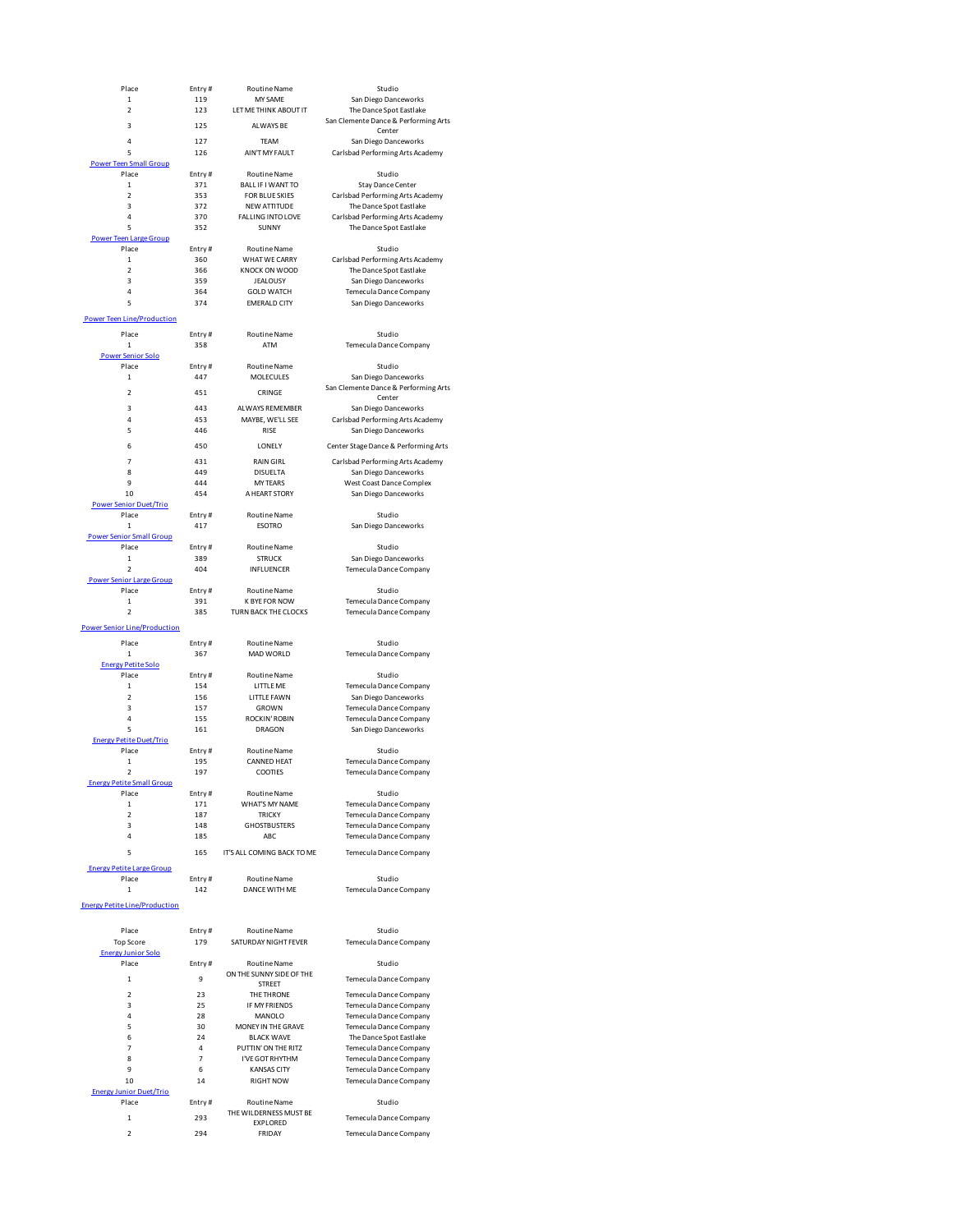| Place                                  | Entry#        | <b>Routine Name</b>                             | Studio                                                          |
|----------------------------------------|---------------|-------------------------------------------------|-----------------------------------------------------------------|
| 1                                      | 119           | <b>MY SAME</b>                                  | San Diego Danceworks                                            |
| $\overline{\mathbf{c}}$                | 123           | LET ME THINK ABOUT IT                           | The Dance Spot Eastlake<br>San Clemente Dance & Performing Arts |
| 3                                      | 125           | ALWAYS BE                                       | Center                                                          |
| 4                                      | 127           | <b>TEAM</b>                                     | San Diego Danceworks                                            |
| 5                                      | 126           | AIN'T MY FAULT                                  | Carlsbad Performing Arts Academy                                |
| <b>Power Teen Small Group</b>          |               |                                                 |                                                                 |
| Place                                  | Entry#        | <b>Routine Name</b>                             | Studio                                                          |
| $\mathbf{1}$                           | 371           | BALL IF I WANT TO                               | <b>Stay Dance Center</b>                                        |
| $\mathfrak{p}$<br>3                    | 353<br>372    | <b>FOR BLUE SKIES</b>                           | Carlsbad Performing Arts Academy                                |
| 4                                      | 370           | <b>NEW ATTITUDE</b><br><b>FALLING INTO LOVE</b> | The Dance Spot Eastlake<br>Carlsbad Performing Arts Academy     |
| 5                                      | 352           | SUNNY                                           | The Dance Spot Eastlake                                         |
| <b>Power Teen Large Group</b>          |               |                                                 |                                                                 |
| Place                                  | Entry#        | <b>Routine Name</b>                             | Studio                                                          |
| $\mathbf 1$                            | 360           | WHAT WE CARRY                                   | Carlsbad Performing Arts Academy                                |
| $\overline{2}$                         | 366           | KNOCK ON WOOD                                   | The Dance Spot Eastlake                                         |
| 3                                      | 359           | <b>JEALOUSY</b>                                 | San Diego Danceworks                                            |
| 4                                      | 364           | <b>GOLD WATCH</b>                               | Temecula Dance Company                                          |
| 5                                      | 374           | <b>EMERALD CITY</b>                             | San Diego Danceworks                                            |
| <b>Power Teen Line/Production</b>      |               |                                                 |                                                                 |
| Place                                  | Entry#        | <b>Routine Name</b>                             | Studio                                                          |
| 1                                      | 358           | ATM                                             | Temecula Dance Company                                          |
| <b>Power Senior Solo</b>               |               |                                                 |                                                                 |
| Place                                  | Entry#        | <b>Routine Name</b>                             | Studio                                                          |
| $\mathbf 1$                            | 447           | <b>MOLECULES</b>                                | San Diego Danceworks                                            |
| $\mathfrak{p}$                         | 451           | CRINGE                                          | San Clemente Dance & Performing Arts                            |
| 3                                      | 443           | ALWAYS REMEMBER                                 | Center<br>San Diego Danceworks                                  |
| 4                                      | 453           | MAYBE, WE'LL SEE                                | Carlsbad Performing Arts Academy                                |
| 5                                      | 446           | RISE                                            | San Diego Danceworks                                            |
|                                        |               |                                                 |                                                                 |
| 6                                      | 450           | LONELY                                          | Center Stage Dance & Performing Arts                            |
| $\overline{7}$                         | 431           | <b>RAIN GIRL</b>                                | Carlsbad Performing Arts Academy                                |
| 8                                      | 449           | <b>DISUELTA</b>                                 | San Diego Danceworks                                            |
| 9                                      | 444           | <b>MY TEARS</b>                                 | West Coast Dance Complex                                        |
| 10                                     | 454           | A HEART STORY                                   | San Diego Danceworks                                            |
| <b>Power Senior Duet/Trio</b><br>Place | Entry#        | <b>Routine Name</b>                             | Studio                                                          |
| $\mathbf 1$                            | 417           | <b>ESOTRO</b>                                   | San Diego Danceworks                                            |
| <b>Power Senior Small Group</b>        |               |                                                 |                                                                 |
| Place                                  | Entry#        | <b>Routine Name</b>                             | Studio                                                          |
| $\mathbf 1$                            | 389           | <b>STRUCK</b>                                   | San Diego Danceworks                                            |
| $\mathfrak{p}$                         | 404           | INFLUENCER                                      | Temecula Dance Company                                          |
| <b>Power Senior Large Group</b>        |               |                                                 |                                                                 |
| Place                                  | Entry#        | <b>Routine Name</b>                             | Studio                                                          |
| $\mathbf 1$<br>$\overline{2}$          | 391<br>385    | <b>K BYE FOR NOW</b><br>TURN BACK THE CLOCKS    | Temecula Dance Company<br>Temecula Dance Company                |
|                                        |               |                                                 |                                                                 |
| <b>Power Senior Line/Production</b>    |               |                                                 |                                                                 |
| Place                                  | Entry#        | <b>Routine Name</b>                             | Studio                                                          |
| 1                                      | 367           | MAD WORLD                                       | Temecula Dance Company                                          |
| <b>Energy Petite Solo</b>              |               |                                                 |                                                                 |
| Place                                  | Entry#        | <b>Routine Name</b>                             | Studio                                                          |
| $\mathbf{1}$<br>$\overline{2}$         | 154           | LITTLE ME                                       | Temecula Dance Company                                          |
| 3                                      | 156<br>157    | LITTLE FAWN<br>GROWN                            | San Diego Danceworks<br>Temecula Dance Company                  |
| 4                                      | 155           | <b>ROCKIN' ROBIN</b>                            | <b>Temecula Dance Company</b>                                   |
| 5                                      | 161           | <b>DRAGON</b>                                   | San Diego Danceworks                                            |
| <b>Energy Petite Duet/Trio</b>         |               |                                                 |                                                                 |
| Place                                  | Entry#        | <b>Routine Name</b>                             | Studio                                                          |
| $\mathbf 1$                            | 195           | <b>CANNED HEAT</b>                              | Temecula Dance Company                                          |
| $\overline{2}$                         | 197           | COOTIES                                         | Temecula Dance Company                                          |
| an c                                   |               |                                                 |                                                                 |
| Place<br>$\mathbf 1$                   | Entry#<br>171 | Routine Name<br>WHAT'S MY NAME                  | Studio                                                          |
| $\overline{\mathbf{2}}$                | 187           | <b>TRICKY</b>                                   | Temecula Dance Company<br>Temecula Dance Company                |
| 3                                      | 148           | <b>GHOSTBUSTERS</b>                             | Temecula Dance Company                                          |
| 4                                      | 185           | ABC                                             | <b>Temecula Dance Company</b>                                   |
| 5                                      | 165           | IT'S ALL COMING BACK TO ME                      | Temecula Dance Company                                          |
|                                        |               |                                                 |                                                                 |
| <b>Energy Petite Large Group</b>       |               |                                                 |                                                                 |
| Place                                  | Entry#        | <b>Routine Name</b>                             | Studio                                                          |
| 1                                      | 142           | DANCE WITH ME                                   | Temecula Dance Company                                          |
| <b>Energy Petite Line/Production</b>   |               |                                                 |                                                                 |
|                                        |               |                                                 |                                                                 |
| Place                                  | Entry#        | Routine Name                                    | Studio                                                          |

| <b>Top Score</b>               | 179    | SATURDAY NIGHT FEVER                      | Temecula Dance Company  |
|--------------------------------|--------|-------------------------------------------|-------------------------|
| <b>Energy Junior Solo</b>      |        |                                           |                         |
| Place                          | Entry# | <b>Routine Name</b>                       | Studio                  |
| 1                              | 9      | ON THE SUNNY SIDE OF THE<br><b>STREET</b> | Temecula Dance Company  |
| $\overline{2}$                 | 23     | THE THRONE                                | Temecula Dance Company  |
| 3                              | 25     | <b>IF MY FRIENDS</b>                      | Temecula Dance Company  |
| $\overline{4}$                 | 28     | MANOLO                                    | Temecula Dance Company  |
| 5                              | 30     | MONEY IN THE GRAVE                        | Temecula Dance Company  |
| 6                              | 24     | <b>BLACK WAVE</b>                         | The Dance Spot Eastlake |
| 7                              | 4      | PUTTIN' ON THE RITZ                       | Temecula Dance Company  |
| 8                              | 7      | I'VE GOT RHYTHM                           | Temecula Dance Company  |
| 9                              | 6      | <b>KANSAS CITY</b>                        | Temecula Dance Company  |
| 10                             | 14     | <b>RIGHT NOW</b>                          | Temecula Dance Company  |
| <b>Energy Junior Duet/Trio</b> |        |                                           |                         |
| Place                          | Entry# | <b>Routine Name</b>                       | Studio                  |
| $\mathbf{1}$                   | 293    | THE WILDERNESS MUST BE<br><b>EXPLORED</b> | Temecula Dance Company  |
| 2                              | 294    | FRIDAY                                    | Temecula Dance Company  |

| HINK ABOUT IT          | The Dance Spot Eastlake             |
|------------------------|-------------------------------------|
| <b>NAYS BE</b>         | San Clemente Dance & Performing Art |
|                        | Center                              |
| TEAM                   | San Diego Danceworks                |
| MY FAULT               | Carlsbad Performing Arts Academy    |
|                        |                                     |
| ine Name               | Studio                              |
| I WANT TO              | Stay Dance Center                   |
| <b>ILUE SKIES</b>      | Carlsbad Performing Arts Academy    |
| <b>ATTITUDE</b>        | The Dance Spot Eastlake             |
| <b>GINTO LOVE</b>      | Carlsbad Performing Arts Academy    |
| UNNY                   | The Dance Spot Eastlake             |
|                        |                                     |
| ine Name               | Studio                              |
| WE CARRY               | Carlsbad Performing Arts Academy    |
| ON WOOD                | The Dance Spot Eastlake             |
| ALOUSY                 | San Diego Danceworks                |
| D WATCH                | Temecula Dance Company              |
| RALD CITY              | San Diego Danceworks                |
|                        |                                     |
| ine Name               | Studio                              |
| ATM                    | Temecula Dance Company              |
|                        |                                     |
| ine Name               | Studio                              |
| LECULES                | San Diego Danceworks                |
|                        |                                     |
| RINGE                  | San Clemente Dance & Performing Art |
| S REMEMBER             | Center<br>San Diego Danceworks      |
|                        |                                     |
| , WE'LL SEE            | Carlsbad Performing Arts Academy    |
| <b>RISE</b>            | San Diego Danceworks                |
| ONELY                  | Center Stage Dance & Performing Art |
| IN GIRL                | Carlsbad Performing Arts Academy    |
| SUELTA                 | San Diego Danceworks                |
| Y TEARS                | West Coast Dance Complex            |
| <b>ART STORY</b>       |                                     |
|                        | San Diego Danceworks                |
| ine Name               | Studio                              |
| SOTRO                  | San Diego Danceworks                |
|                        |                                     |
| ine Name               | Studio                              |
| <b>TRUCK</b>           | San Diego Danceworks                |
| LUENCER                | Temecula Dance Company              |
|                        |                                     |
| ine Name               | Studio                              |
| FOR NOW                | Temecula Dance Company              |
| <b>K THE CLOCKS</b>    | Temecula Dance Company              |
|                        |                                     |
|                        |                                     |
| ine Name               | Studio                              |
| WORLD                  | Temecula Dance Company              |
|                        |                                     |
| ine Name:              | Studio                              |
| <b>TTLE ME</b>         | Temecula Dance Company              |
| LE FAWN                | San Diego Danceworks                |
| ROWN                   | Temecula Dance Company              |
| (IN'ROBIN              | Temecula Dance Company              |
| RAGON                  | San Diego Danceworks                |
|                        |                                     |
| ine Name               | Studio                              |
| NED HEAT               | Temecula Dance Company              |
| <b>DOTIES</b>          | Temecula Dance Company              |
|                        |                                     |
| ine Name               | Studio                              |
| 'S MY NAME             | Temecula Dance Company              |
| RICKY                  | Temecula Dance Company              |
| <b>STBUSTERS</b>       | Temecula Dance Company              |
| ABC                    | Temecula Dance Company              |
| <b>IING BACK TO ME</b> |                                     |
|                        | Temecula Dance Company              |
|                        |                                     |
| ine Name:              | Studio                              |
| E WITH ME              | Temecula Dance Company              |
|                        |                                     |
|                        |                                     |
|                        |                                     |
| ine Name               | Studio                              |
| Y NIGHT FEVER          | <b>Temecula Dance Company</b>       |
|                        | Carl at the                         |

## IDE OF THE Temecula Dance Company<br>T<br>ONE Temecula Dance Company

Temecula Dance Company Temecula Dance Company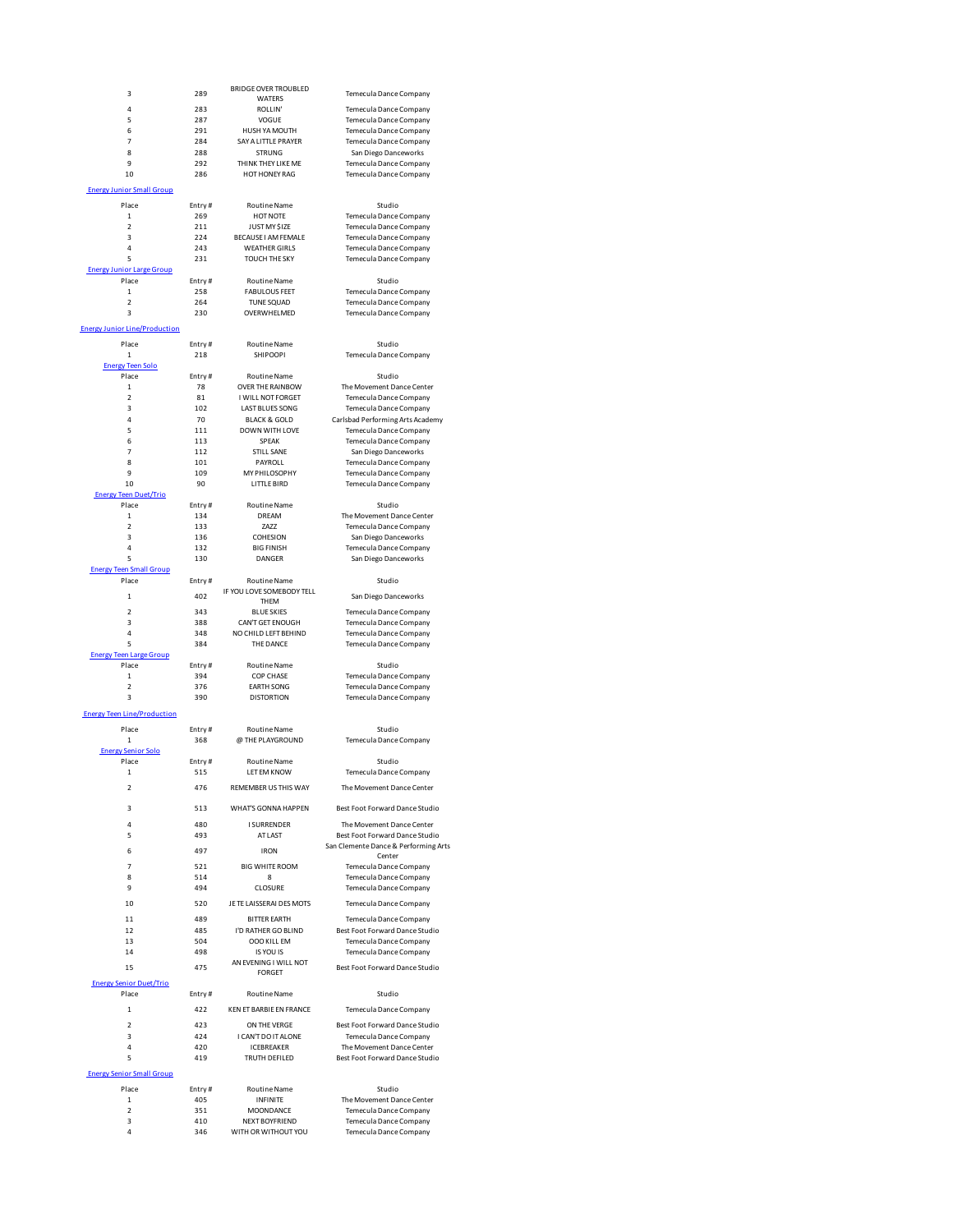| 3                                       | 289           | <b>BRIDGE OVER TROUBLED</b><br><b>WATFRS</b>      | Temecula Dance Company                                               |
|-----------------------------------------|---------------|---------------------------------------------------|----------------------------------------------------------------------|
| 4                                       | 283           | ROLLIN'                                           | Temecula Dance Company                                               |
| 5                                       | 287           | VOGUE                                             | Temecula Dance Company                                               |
| 6<br>$\overline{7}$                     | 291<br>284    | HUSH YA MOUTH<br>SAY A LITTLE PRAYER              | <b>Temecula Dance Company</b><br>Temecula Dance Company              |
| 8                                       | 288           | <b>STRUNG</b>                                     | San Diego Danceworks                                                 |
| 9                                       | 292           | THINK THEY LIKE ME                                | Temecula Dance Company                                               |
| 10                                      | 286           | HOT HONEY RAG                                     | <b>Temecula Dance Company</b>                                        |
| <b>Energy Junior Small Group</b>        |               |                                                   |                                                                      |
| Place<br>1                              | Entry#<br>269 | <b>Routine Name</b><br><b>HOT NOTE</b>            | Studio<br>Temecula Dance Company                                     |
| $\overline{\mathbf{2}}$                 | 211           | JUST MY \$IZE                                     | Temecula Dance Company                                               |
| 3                                       | 224           | <b>BECAUSE I AM FEMALE</b>                        | Temecula Dance Company                                               |
| 4<br>5                                  | 243<br>231    | <b>WEATHER GIRLS</b><br><b>TOUCH THE SKY</b>      | Temecula Dance Company<br>Temecula Dance Company                     |
| <b>Energy Junior Large Group</b>        |               |                                                   |                                                                      |
| Place                                   | Entry#        | <b>Routine Name</b>                               | Studio                                                               |
| $\mathbf{1}$<br>$\overline{2}$          | 258<br>264    | <b>FABULOUS FEET</b><br><b>TUNE SQUAD</b>         | Temecula Dance Company<br>Temecula Dance Company                     |
| 3                                       | 230           | OVERWHELMED                                       | Temecula Dance Company                                               |
| <b>Energy Junior Line/Production</b>    |               |                                                   |                                                                      |
| Place                                   | Entry#        | <b>Routine Name</b>                               | Studio                                                               |
| $\mathbf 1$                             | 218           | <b>SHIPOOPI</b>                                   | Temecula Dance Company                                               |
| <b>Energy Teen Solo</b>                 |               |                                                   |                                                                      |
| Place<br>$\mathbf 1$                    | Entry#<br>78  | <b>Routine Name</b><br><b>OVER THE RAINBOW</b>    | Studio<br>The Movement Dance Center                                  |
| $\overline{2}$                          | 81            | I WILL NOT FORGET                                 | Temecula Dance Company                                               |
| 3<br>4                                  | 102<br>70     | <b>LAST BLUES SONG</b><br><b>BLACK &amp; GOLD</b> | Temecula Dance Company                                               |
| 5                                       | 111           | DOWN WITH LOVE                                    | Carlsbad Performing Arts Academy<br>Temecula Dance Company           |
| 6                                       | 113           | SPEAK                                             | Temecula Dance Company                                               |
| $\overline{7}$<br>8                     | 112<br>101    | <b>STILL SANE</b><br>PAYROLL                      | San Diego Danceworks<br>Temecula Dance Company                       |
| 9                                       | 109           | MY PHILOSOPHY                                     | <b>Temecula Dance Company</b>                                        |
| 10                                      | 90            | LITTLE BIRD                                       | Temecula Dance Company                                               |
| <b>Energy Teen Duet/Trio</b><br>Place   | Entry#        | <b>Routine Name</b>                               | Studio                                                               |
| 1                                       | 134           | DREAM                                             | The Movement Dance Center                                            |
| $\overline{2}$                          | 133           | 7A77                                              | Temecula Dance Company                                               |
| 3<br>4                                  | 136<br>132    | COHESION<br><b>BIG FINISH</b>                     | San Diego Danceworks<br>Temecula Dance Company                       |
| 5                                       | 130           | DANGER                                            | San Diego Danceworks                                                 |
| <b>Energy Teen Small Group</b><br>Place | Entry#        | <b>Routine Name</b>                               | Studio                                                               |
| $\mathbf{1}$                            | 402           | IF YOU LOVE SOMEBODY TELL                         | San Diego Danceworks                                                 |
|                                         |               | THEM                                              |                                                                      |
| $\overline{a}$<br>3                     | 343<br>388    | <b>BLUE SKIES</b><br>CAN'T GET ENOUGH             | Temecula Dance Company<br>Temecula Dance Company                     |
| 4                                       | 348           | NO CHILD LEFT BEHIND                              | Temecula Dance Company                                               |
| 5<br><b>Energy Teen Large Group</b>     | 384           | THE DANCE                                         | Temecula Dance Company                                               |
| Place                                   | Entry#        | <b>Routine Name</b>                               | Studio                                                               |
| $\mathbf{1}$                            | 394           | <b>COP CHASE</b>                                  | Temecula Dance Company                                               |
| $\overline{2}$<br>3                     | 376<br>390    | <b>EARTH SONG</b><br><b>DISTORTION</b>            | Temecula Dance Company<br>Temecula Dance Company                     |
| <b>Energy Teen Line/Production</b>      |               |                                                   |                                                                      |
| Place                                   | Entry#        | <b>Routine Name</b>                               | Studio                                                               |
| 1                                       | 368           | @ THE PLAYGROUND                                  | Temecula Dance Company                                               |
| <b>Energy Senior Solo</b>               |               |                                                   |                                                                      |
| Place<br>$\mathbf{1}$                   | Entry#<br>515 | <b>Routine Name</b><br>LET EM KNOW                | Studio<br>Temecula Dance Company                                     |
| $\overline{\mathbf{2}}$                 | 476           | REMEMBER US THIS WAY                              | The Movement Dance Center                                            |
|                                         |               |                                                   |                                                                      |
| 3                                       | 513           | WHAT'S GONNA HAPPEN                               | Best Foot Forward Dance Studio                                       |
| 4<br>5                                  | 480           | <b>I SURRENDER</b>                                | The Movement Dance Center                                            |
|                                         | 493           | AT LAST                                           | Best Foot Forward Dance Studio<br>San Clemente Dance & Performing Ar |
| 6                                       | 497           | <b>IRON</b>                                       | Center                                                               |
| 7<br>8                                  | 521<br>514    | <b>BIG WHITE ROOM</b><br>8                        | Temecula Dance Company<br><b>Temecula Dance Company</b>              |
| 9                                       | 494           | CLOSURE                                           | Temecula Dance Company                                               |
| 10                                      | 520           | JE TE LAISSERAI DES MOTS                          | Temecula Dance Company                                               |
| 11                                      | 489           | <b>BITTER FARTH</b>                               | Temecula Dance Company                                               |
| 12                                      | 485           | I'D RATHER GO BLIND                               | Best Foot Forward Dance Studio                                       |
| 13<br>14                                | 504<br>498    | <b>OOO KILL EM</b><br>IS YOU IS                   | Temecula Dance Company<br>Temecula Dance Company                     |
| 15                                      | 475           | AN EVENING I WILL NOT                             | Best Foot Forward Dance Studio                                       |
|                                         |               | FORGET                                            |                                                                      |
| <b>Energy Senior Duet/Trio</b><br>Place | Entry#        | Routine Name                                      | Studio                                                               |
| 1                                       | 422           | KEN ET BARBIE EN FRANCE                           | Temecula Dance Company                                               |
| $\mathfrak{p}$                          | 423           | ON THE VERGE                                      | Best Foot Forward Dance Studio                                       |
| 3                                       | 424           | I CAN'T DO IT ALONE                               | Temecula Dance Company                                               |
| 4                                       | 420           | ICEBREAKER                                        | The Movement Dance Center                                            |
| 5                                       | 419           | TRUTH DEFILED                                     | Best Foot Forward Dance Studio                                       |
| <b>Energy Senior Small Group</b>        |               |                                                   |                                                                      |
| Place                                   | Entry#        | Routine Name                                      | Studio                                                               |
| $\mathbf 1$<br>$\overline{\mathbf{c}}$  | 405<br>351    | INFINITE<br>MOONDANCE                             | The Movement Dance Center<br>Temecula Dance Company                  |
| 3                                       | 410           | NEXT BOYFRIEND                                    | Temecula Dance Company                                               |
| Δ                                       | 346           | WITH OR WITHOUT YOU                               | Temecula Dance Company                                               |
|                                         |               |                                                   |                                                                      |

| <b>VER TROUBLED</b>              | Temecula Dance Company                                  |
|----------------------------------|---------------------------------------------------------|
| VATERS                           |                                                         |
| OLLIN'<br>/OGUE                  | <b>Temecula Dance Company</b><br>Temecula Dance Company |
| YA MOUTH                         | Temecula Dance Company                                  |
| <b>TTLE PRAYER</b>               | Temecula Dance Company                                  |
| TRUNG                            | San Diego Danceworks                                    |
| THEY LIKE ME                     | Temecula Dance Company                                  |
| <b>IONEY RAG</b>                 | <b>Temecula Dance Company</b>                           |
|                                  |                                                         |
| tine Name                        | Studio                                                  |
| <b>DT NOTE</b><br>T MY \$IZE     | Temecula Dance Company<br>Temecula Dance Company        |
| I AM FEMALE                      | Temecula Dance Company                                  |
| THER GIRLS                       | Temecula Dance Company                                  |
| <b>H THE SKY</b>                 | Temecula Dance Company                                  |
| tine Name                        | Studio                                                  |
| <b>LOUS FEET</b>                 | Temecula Dance Company                                  |
| <b>IE SQUAD</b>                  | Temecula Dance Company                                  |
| WHELMED                          | Temecula Dance Company                                  |
| tine Name                        | Studio                                                  |
| <b>IIPOOPI</b>                   | Temecula Dance Company                                  |
|                                  |                                                         |
| tine Name<br><b>HE RAINBOW</b>   | Studio<br>The Movement Dance Center                     |
| NOT FORGET                       | Temecula Dance Company                                  |
| LUES SONG                        | Temecula Dance Company                                  |
| K & GOLD                         | Carlsbad Performing Arts Academy                        |
| <b>WITH LOVE</b>                 | <b>Temecula Dance Company</b>                           |
| SPEAK                            | Temecula Dance Company                                  |
| LL SANE                          | San Diego Danceworks                                    |
| AYROLL                           | Temecula Dance Company                                  |
| HILOSOPHY                        | Temecula Dance Company                                  |
| TLE BIRD                         | Temecula Dance Company                                  |
| tine Name                        | Studio                                                  |
| REAM                             | The Movement Dance Center                               |
| ZAZZ                             | <b>Temecula Dance Company</b>                           |
| <b>HESION</b><br><b>G FINISH</b> | San Diego Danceworks                                    |
| ANGER                            | Temecula Dance Company<br>San Diego Danceworks          |
|                                  |                                                         |
| tine Name<br>SOMEBODY TELL       | Studio                                                  |
| THEM                             | San Diego Danceworks                                    |
| <b>JE SKIES</b>                  | Temecula Dance Company                                  |
| <b>GET ENOUGH</b>                | Temecula Dance Company                                  |
| LEFT BEHIND                      | Temecula Dance Company                                  |
| E DANCE                          | Temecula Dance Company                                  |
| tine Name                        | Studio                                                  |
| P CHASE                          | Temecula Dance Company                                  |
| TH SONG                          | Temecula Dance Company                                  |
| <b>TORTION</b>                   | Temecula Dance Company                                  |
|                                  |                                                         |
| tine Name<br>LAYGROUND           | Studio<br>Temecula Dance Company                        |
|                                  |                                                         |
| tine Name<br><b>IM KNOW</b>      | Studio<br>Temecula Dance Company                        |
| <b>R US THIS WAY</b>             | The Movement Dance Center                               |
| ONNA HAPPEN                      | Best Foot Forward Dance Studio                          |
| RRENDER                          | The Movement Dance Center                               |
| <b>TLAST</b>                     | Best Foot Forward Dance Studio                          |
| <b>IRON</b>                      | San Clemente Dance & Performing Arts                    |
| HITE ROOM                        | Center<br>Temecula Dance Company                        |
| $\mathbf{8}$                     | Temecula Dance Company                                  |
| .OSURE                           | <b>Temecula Dance Company</b>                           |
| <b>SERAI DES MOTS</b>            | Temecula Dance Company                                  |
| ER EARTH                         | <b>Temecula Dance Company</b>                           |
| <b>IER GO BLIND</b>              | Best Foot Forward Dance Studio                          |
| <b>DKILL EM</b>                  | Temecula Dance Company                                  |
| YOU IS                           | Temecula Dance Company                                  |
| NG I WILL NOT<br>ORGET           | Best Foot Forward Dance Studio                          |
|                                  |                                                         |
| tine Name                        | Studio                                                  |
| RBIE EN FRANCE                   | Temecula Dance Company                                  |
| <b>HEVERGE</b>                   | Best Foot Forward Dance Studio                          |
| DO IT ALONE                      | Temecula Dance Company                                  |
| <b>BREAKER</b>                   | The Movement Dance Center                               |
| H DEFILED                        | Best Foot Forward Dance Studio                          |
| tine Name                        | Studio                                                  |
| <b>IFINITE</b>                   | The Movement Dance Center                               |
| <b>ONDANCE</b>                   | Temerula Dance Company                                  |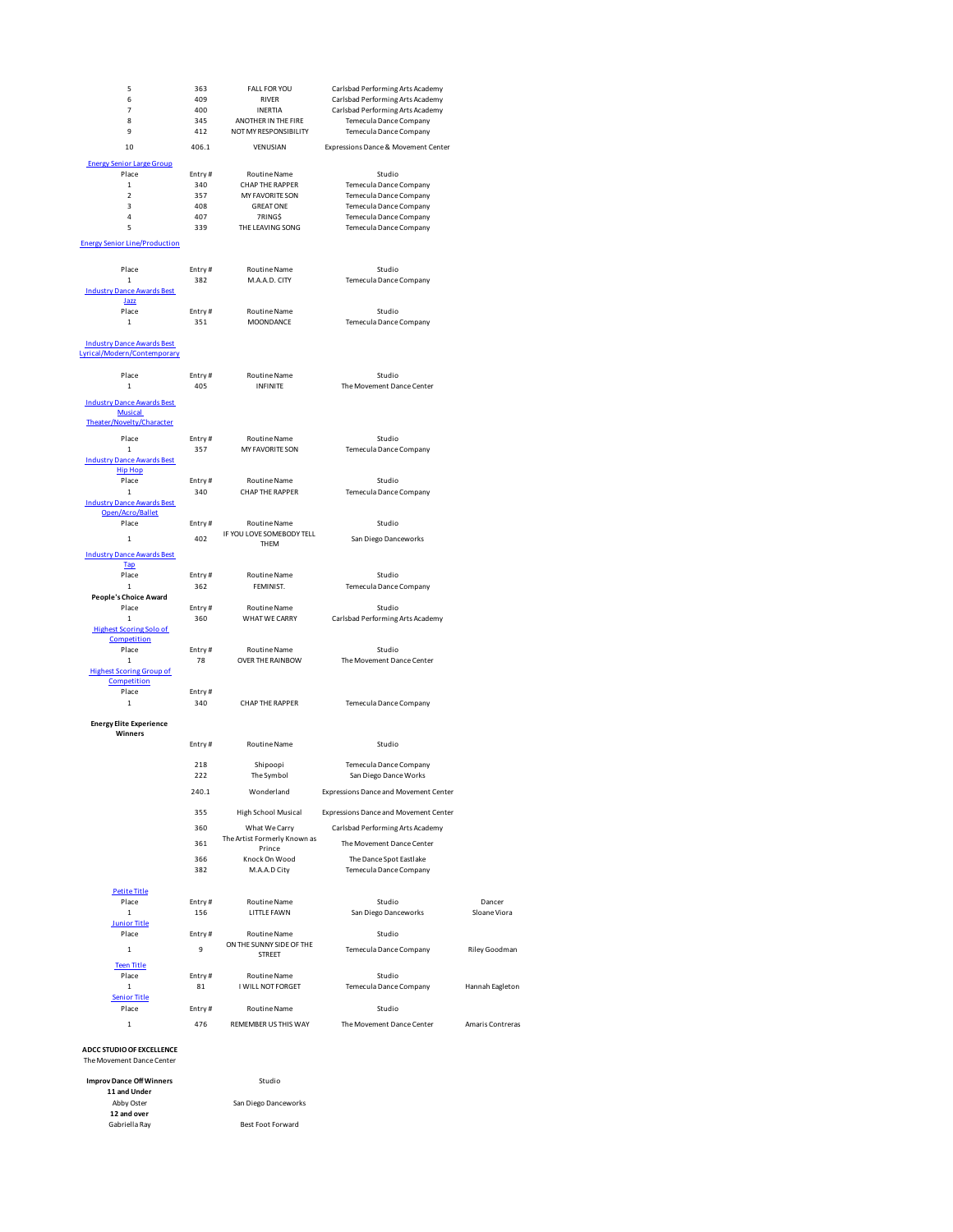| 5                                    | 363           | <b>FALL FOR YOU</b>               | Carlsbad Performing Arts Academy      |                      |
|--------------------------------------|---------------|-----------------------------------|---------------------------------------|----------------------|
| 6                                    | 409           | RIVER                             | Carlsbad Performing Arts Academy      |                      |
| $\overline{7}$                       | 400           | <b>INERTIA</b>                    | Carlsbad Performing Arts Academy      |                      |
| 8                                    | 345           | ANOTHER IN THE FIRE               | Temecula Dance Company                |                      |
| 9                                    | 412           | NOT MY RESPONSIBILITY             | Temecula Dance Company                |                      |
| 10                                   | 406.1         | VENUSIAN                          | Expressions Dance & Movement Center   |                      |
| <b>Energy Senior Large Group</b>     |               |                                   |                                       |                      |
| Place                                | Entry#        | Routine Name                      | Studio                                |                      |
| $\mathbf 1$                          | 340           | CHAP THE RAPPER                   | Temecula Dance Company                |                      |
| $\overline{\mathbf{2}}$              | 357           | MY FAVORITE SON                   | Temecula Dance Company                |                      |
| 3                                    | 408           | <b>GREAT ONE</b>                  | Temecula Dance Company                |                      |
| 4                                    | 407           | 7RING\$                           | Temecula Dance Company                |                      |
| 5                                    | 339           | THE LEAVING SONG                  | Temecula Dance Company                |                      |
|                                      |               |                                   |                                       |                      |
| <b>Energy Senior Line/Production</b> |               |                                   |                                       |                      |
|                                      |               |                                   |                                       |                      |
| Place                                | Entry#        | <b>Routine Name</b>               | Studio                                |                      |
| $\mathbf 1$                          | 382           | M.A.A.D. CITY                     | Temecula Dance Company                |                      |
| <b>Industry Dance Awards Best</b>    |               |                                   |                                       |                      |
| Jazz                                 |               |                                   |                                       |                      |
| Place                                | Entry#        | Routine Name                      | Studio                                |                      |
| $\mathbf 1$                          | 351           | MOONDANCE                         | Temecula Dance Company                |                      |
|                                      |               |                                   |                                       |                      |
| <b>Industry Dance Awards Best</b>    |               |                                   |                                       |                      |
| Lyrical/Modern/Contemporary          |               |                                   |                                       |                      |
| Place                                | Entry#        | Routine Name                      | Studio                                |                      |
| $\mathbf 1$                          | 405           | <b>INFINITE</b>                   | The Movement Dance Center             |                      |
|                                      |               |                                   |                                       |                      |
| <b>Industry Dance Awards Best</b>    |               |                                   |                                       |                      |
| <b>Musical</b>                       |               |                                   |                                       |                      |
| Theater/Novelty/Character            |               |                                   |                                       |                      |
| Place                                | Entry#        | Routine Name                      | Studio                                |                      |
| $\mathbf{1}$                         | 357           | MY FAVORITE SON                   | Temecula Dance Company                |                      |
| <b>Industry Dance Awards Best</b>    |               |                                   |                                       |                      |
| <b>Hip Hop</b>                       |               |                                   |                                       |                      |
| Place                                | Entry#        | <b>Routine Name</b>               | Studio                                |                      |
| $\mathbf 1$                          | 340           | <b>CHAP THE RAPPER</b>            | Temecula Dance Company                |                      |
| <b>Industry Dance Awards Best</b>    |               |                                   |                                       |                      |
| Open/Acro/Ballet                     |               |                                   |                                       |                      |
| Place                                | Entry#        | Routine Name                      | Studio                                |                      |
| $\mathbf 1$                          | 402           | IF YOU LOVE SOMEBODY TELL<br>THEM | San Diego Danceworks                  |                      |
| <b>Industry Dance Awards Best</b>    |               |                                   |                                       |                      |
| <b>Tap</b>                           |               |                                   |                                       |                      |
| Place                                | Entry#        | Routine Name                      | Studio                                |                      |
| $\mathbf 1$                          | 362           | FEMINIST.                         | Temecula Dance Company                |                      |
| <b>People's Choice Award</b>         |               |                                   |                                       |                      |
| Place                                | Entry#        | Routine Name                      | Studio                                |                      |
| $\mathbf{1}$                         | 360           | WHAT WE CARRY                     | Carlsbad Performing Arts Academy      |                      |
| <b>Highest Scoring Solo of</b>       |               |                                   |                                       |                      |
| Competition                          |               |                                   |                                       |                      |
| Place                                | Entry#        | Routine Name                      | Studio                                |                      |
| $\mathbf{1}$                         | 78            | OVER THE RAINBOW                  | The Movement Dance Center             |                      |
| <b>Highest Scoring Group of</b>      |               |                                   |                                       |                      |
| Competition                          |               |                                   |                                       |                      |
| Place                                | Entry#        | CHAP THE RAPPER                   |                                       |                      |
| $\mathbf 1$                          | 340           |                                   | Temecula Dance Company                |                      |
| <b>Energy Elite Experience</b>       |               |                                   |                                       |                      |
| Winners                              |               |                                   |                                       |                      |
|                                      |               |                                   |                                       |                      |
|                                      | Entry#        |                                   | Studio                                |                      |
|                                      |               | Routine Name                      |                                       |                      |
|                                      | 218           | Shipoopi                          | <b>Temecula Dance Company</b>         |                      |
|                                      | 222           | The Symbol                        | San Diego Dance Works                 |                      |
|                                      |               |                                   |                                       |                      |
|                                      | 240.1         | Wonderland                        | Expressions Dance and Movement Center |                      |
|                                      |               |                                   |                                       |                      |
|                                      | 355           | <b>High School Musical</b>        | Expressions Dance and Movement Center |                      |
|                                      | 360           | What We Carry                     | Carlsbad Performing Arts Academy      |                      |
|                                      | 361           | The Artist Formerly Known as      | The Movement Dance Center             |                      |
|                                      |               | Prince                            |                                       |                      |
|                                      | 366           | Knock On Wood                     | The Dance Spot Eastlake               |                      |
|                                      | 382           | M.A.A.D City                      | Temecula Dance Company                |                      |
|                                      |               |                                   |                                       |                      |
| <b>Petite Title</b>                  |               |                                   |                                       |                      |
| Place<br>$\mathbf 1$                 | Entry#<br>156 | Routine Name<br>LITTLE FAWN       | Studio                                | Dancer<br>Sloane Vio |
| <b>Junior Title</b>                  |               |                                   | San Diego Danceworks                  |                      |
| Place                                | Entry#        | Routine Name                      | Studio                                |                      |
|                                      |               | ON THE SUNNY SIDE OF THE          |                                       |                      |
| $\mathbf 1$                          | 9             | <b>STREET</b>                     | Temecula Dance Company                | <b>Riley Good</b>    |
| <b>Teen Title</b>                    |               |                                   |                                       |                      |
| Place                                | Entry#        | <b>Routine Name</b>               | Studio                                |                      |
| 1                                    | 81            | I WILL NOT FORGET                 | Temecula Dance Company                | Hannah Eag           |
| <b>Senior Title</b>                  |               |                                   |                                       |                      |
| Place                                | Entry#        | Routine Name                      | Studio                                |                      |
| 1                                    | 476           | REMEMBER US THIS WAY              | The Movement Dance Center             | Amaris Cont          |

Dancer<br>Sloane Viora

Riley Goodman

Hannah Eagleton

Amaris Contreras

**ADCC STUDIO OF EXCELLENCE** The Movement Dance Center

| <b>Improv Dance Off Winners</b> | Studio               |  |
|---------------------------------|----------------------|--|
| 11 and Under                    |                      |  |
| Abby Oster                      | San Diego Danceworks |  |
| 12 and over                     |                      |  |
| Gabriella Rav                   | Best Foot Forward    |  |
|                                 |                      |  |